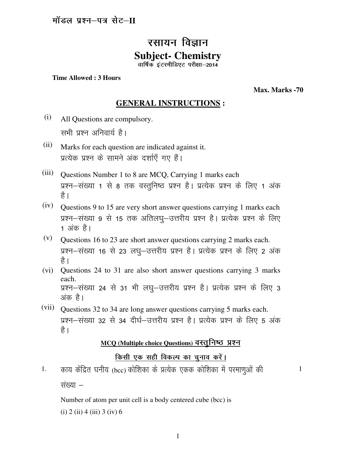## रसायन विज्ञान **Subject- Chemistry**   $\overline{a}$ वार्षिक इंटरमीडिएट परीक्षा-2014

#### **Time Allowed : 3 Hours**

**Max. Marks -70**

### **GENERAL INSTRUCTIONS :**

- (i) All Questions are compulsory. सभी प्रश्न अनिवार्य है।
- (ii) Marks for each question are indicated against it. प्रत्येक प्रश्न के सामने अंक दर्शाएँ गए हैं।
- (iii) Questions Number 1 to 8 are MCQ, Carrying 1 marks each प्रश्न–संख्या 1 से 8 तक वस्तुनिष्ठ प्रश्न है। प्रत्येक प्रश्न के लिए 1 अंक है ।
- (iv) Questions 9 to 15 are very short answer questions carrying 1 marks each प्रश्न-संख्या 9 से 15 तक अतिलघु-उत्तरीय प्रश्न है। प्रत्येक प्रश्न के लिए 1 अंक है।
- (v) Questions 16 to 23 are short answer questions carrying 2 marks each. प्रश्न-संख्या 16 से 23 लघू-उत्तरीय प्रश्न है। प्रत्येक प्रश्न के लिए 2 अंक है ।
- (vi) Questions 24 to 31 are also short answer questions carrying 3 marks each. प्रश्न-संख्या 24 से 31 भी लघु-उत्तरीय प्रश्न है। प्रत्येक प्रश्न के लिए 3 अंक है।
- (vii) Questions 32 to 34 are long answer questions carrying 5 marks each. प्रश्न-संख्या 32 से 34 दीर्घ-उत्तरीय प्रश्न है। प्रत्येक प्रश्न के लिए 5 अंक है।

# **MCQ (Multiple choice Questions) वस्तुनिष्ठ प्रश्न**

### किसी एक सही विकल्प का चुनाव करें।

1. काय केंद्रित घनीय (bcc) कोशिका के प्रत्येक एकक कोशिका में परमाणओं की

1

संख्या  $-$ 

Number of atom per unit cell is a body centered cube (bcc) is (i) 2 (ii) 4 (iii) 3 (iv) 6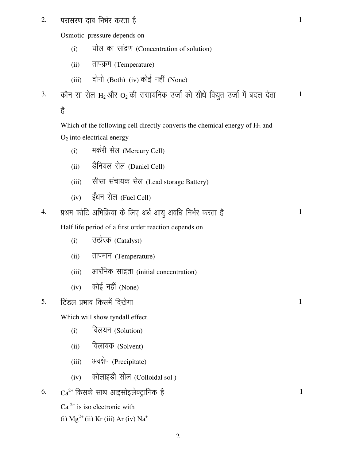2. परासरण दाब निर्भर करता है

Osmotic pressure depends on

- $(i)$   $\qquad$  घोल का सांद्रण (Concentration of solution)
- (ii) तापक्रम (Temperature)
- $(iii)$  दोनो (Both)  $(iv)$  कोई नहीं (None)
- 3. कौन सा सेल H<sub>2</sub> और O<sub>2</sub> की रासायनिक उर्जा को सीधे विद्युत उर्जा में बदल देता 1

ਵੈ

Which of the following cell directly converts the chemical energy of  $H_2$  and  $O<sub>2</sub>$  into electrical energy

- (i) मर्करी सेल (Mercury Cell)
- (ii) हैनियल सेल (Daniel Cell)
- (iii) सीसा संचायक सेल (Lead storage Battery)
- $(iv)$  ईंधन सेल (Fuel Cell)

4. प्रथम कोटि अभिक्रिया के लिए अर्ध आयु अवधि निर्भर करता है

1

1

1

1

Half life period of a first order reaction depends on

- (i) जत्प्रेरक (Catalyst)
- (ii) तापमान (Temperature)
- (iii) आरंभिक साद्रता (initial concentration)
- $(iv)$  कोई नहीं (None)

5. हिंडल प्रभाव किसमें दिखेगा

Which will show tyndall effect.

- (i) विलयन (Solution)
- (ii) विलायक (Solvent)
- (iii) अवक्षेप (Precipitate)
- $(iv)$  कोलाइडी सोल (Colloidal sol )

6.  $Ca^{2+}$  किसके साथ आइसोइलेक्ट्रानिक है

 $Ca<sup>2+</sup>$  is iso electronic with

(i)  $Mg^{2+}$  (ii) Kr (iii) Ar (iv) Na<sup>+</sup>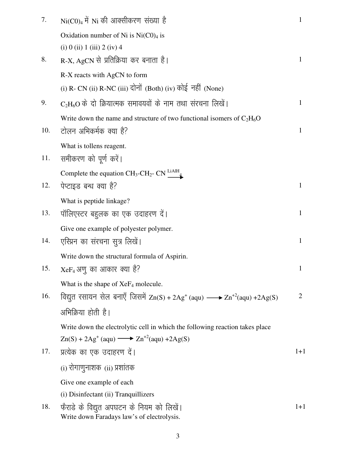| 7.  | $Ni(C0)_4$ में Ni की आक्सीकरण संख्या है                                                 | $\mathbf{1}$   |
|-----|-----------------------------------------------------------------------------------------|----------------|
|     | Oxidation number of Ni is $Ni(C0)_4$ is                                                 |                |
|     | $(i)$ 0 $(ii)$ 1 $(iii)$ 2 $(iv)$ 4                                                     |                |
| 8.  | $R-X$ , AgCN से प्रतिक्रिया कर बनाता है।                                                | 1              |
|     | R-X reacts with AgCN to form                                                            |                |
|     | (i) R- CN (ii) R-NC (iii) दोनों (Both) (iv) कोई नहीं (None)                             |                |
| 9.  | $C_2H_6O$ के दो क्रियात्मक समावयवों के नाम तथा संरचना लिखें।                            | $\mathbf{1}$   |
|     | Write down the name and structure of two functional isomers of $C_2H_6O$                |                |
| 10. | टोलन अभिकर्मक क्या है?                                                                  | $\mathbf{1}$   |
|     | What is tollens reagent.                                                                |                |
| 11. | समीकरण को पूर्ण करें।                                                                   |                |
|     | Complete the equation $CH_3\text{-}CH_2\text{-} CN \frac{\text{LiAlH}}{4}$              |                |
| 12. | पेप्टाइड बन्ध क्या है?                                                                  | $\mathbf{1}$   |
|     | What is peptide linkage?                                                                |                |
| 13. | पॉलिएस्टर बहुलक का एक उदाहरण दें।                                                       | $\mathbf{1}$   |
|     | Give one example of polyester polymer.                                                  |                |
| 14. | एस्प्रिन का संरचना सुत्र लिखें।                                                         | 1              |
|     | Write down the structural formula of Aspirin.                                           |                |
| 15. | $XeF_4$ अणु का आकार क्या है?                                                            | $\mathbf{1}$   |
|     | What is the shape of $XeF_4$ molecule.                                                  |                |
| 16. | विद्युत रसायन सेल बनाएँ जिसमें $Zn(S) + 2Ag+(aqu) → Zn+2(aqu) + 2Ag(S)$                 | $\overline{2}$ |
|     | अभिक्रिया होती है।                                                                      |                |
|     | Write down the electrolytic cell in which the following reaction takes place            |                |
|     | $\text{Zn}(S) + 2\text{Ag}^+(aqu) \longrightarrow \text{Zn}^{+2}(aqu) + 2\text{Ag}(S)$  |                |
| 17. | प्रत्येक का एक उदाहरण दें।                                                              | $1+1$          |
|     | (i) रोगाणुनाशक (ii) प्रशांतक                                                            |                |
|     | Give one example of each                                                                |                |
|     | (i) Disinfectant (ii) Tranquillizers                                                    |                |
| 18. | फैराडे के विद्युत अपघटन के नियम को लिखें।<br>Write down Faradays law's of electrolysis. | $1+1$          |

3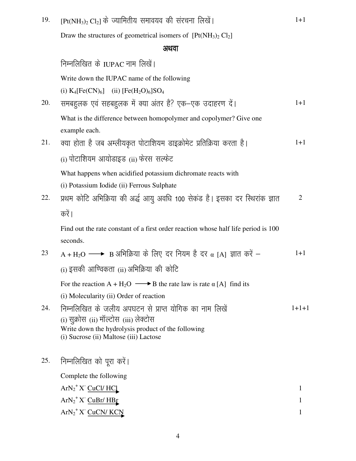| 19. | $[Pt(NH3)2 Cl2]$ के ज्यामितीय समावयव की संरचना लिखें।                                                                                                                                            | $1 + 1$        |
|-----|--------------------------------------------------------------------------------------------------------------------------------------------------------------------------------------------------|----------------|
|     | Draw the structures of geometrical isomers of $[Pt(NH_3)_2 \text{Cl}_2]$                                                                                                                         |                |
|     | अथवा                                                                                                                                                                                             |                |
|     | निम्नलिखित के IUPAC नाम लिखें।                                                                                                                                                                   |                |
|     | Write down the IUPAC name of the following                                                                                                                                                       |                |
|     | (i) $K_4[Fe(CN)_6]$ (ii) $[Fe(H_2O)_6]SO_4$                                                                                                                                                      |                |
| 20. | समबहुलक एवं सहबहुलक में क्या अंतर है? एक-एक उदाहरण दें।                                                                                                                                          | $1+1$          |
|     | What is the difference between homopolymer and copolymer? Give one<br>example each.                                                                                                              |                |
| 21. | क्या होता है जब अम्लीयकृत पोटाशियम डाइक्रोमेट प्रतिक्रिया करता है।                                                                                                                               | $1 + 1$        |
|     | (i) पोटाशियम आयोडाइड (ii) फेरस सल्फेट                                                                                                                                                            |                |
| 22. | What happens when acidified potassium dichromate reacts with<br>(i) Potassium Iodide (ii) Ferrous Sulphate<br>प्रथम कोटि अभिक्रिया की अर्द्ध आयु अवधि 100 सेकंड है। इसका दर स्थिरांक ज्ञात       | $\overline{2}$ |
|     | करें ।                                                                                                                                                                                           |                |
|     | Find out the rate constant of a first order reaction whose half life period is 100<br>seconds.                                                                                                   |                |
| 23  | $A + H2O \longrightarrow B$ अभिक्रिया के लिए दर नियम है दर $\alpha$ [A] ज्ञात करें –                                                                                                             | $1+1$          |
|     | (i) इसकी आण्विकता (ii) अभिक्रिया की कोटि                                                                                                                                                         |                |
|     | For the reaction $A + H_2O \longrightarrow B$ the rate law is rate $\alpha$ [A] find its<br>(i) Molecularity (ii) Order of reaction                                                              |                |
| 24. | निम्नलिखित के जलीय अपघटन से प्राप्त योगिक का नाम लिखें<br>(i) सुक्रोस (ii) मॉल्टोस (iii) लेक्टोस<br>Write down the hydrolysis product of the following<br>(i) Sucrose (ii) Maltose (iii) Lactose | $1+1+1$        |
| 25. | निम्नलिखित को पूरा करें।                                                                                                                                                                         |                |
|     | Complete the following                                                                                                                                                                           |                |
|     | $ArN_2^+X$ CuCl/ HCl                                                                                                                                                                             |                |
|     | $ArN_2^+X$ CuBr/HBr                                                                                                                                                                              |                |
|     | $ArN_2$ <sup>+</sup> X <sup>-</sup> CuCN/ KCN                                                                                                                                                    |                |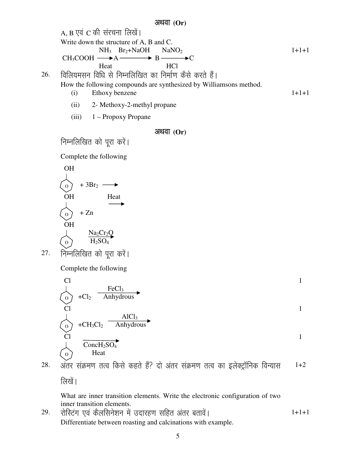अथवा (Or)  $A, B$  एवं  $C$  की संरचना लिखें। Write down the structure of A, B and C.  $NH_3$  Br<sub>2</sub>+NaOH NaNO<sub>2</sub>  $CH_3COOH \longrightarrow A \longrightarrow B \longrightarrow C$ Heat HCl  $1+1+1$ 26. ) विलियमसन विधि से निम्नलिखित का निर्माण कैसे करते हैं। How the following compounds are synthesized by Williamsons method. (i) Ethoxy benzene (ii) 2- Methoxy-2-methyl propane (iii) 1 – Propoxy Propane 1+1+1 अथवा (Or) निम्नलिखित को पूरा करें। Complete the following OH  $+3Br<sub>2</sub>$  – OH Heat  $+ Zn$ **OH**  $\perp$   $\frac{\text{Na}_2\text{Cr}_2\text{Q}}{2}$  $\langle \circ \rangle$  H<sub>2</sub>SO<sub>4</sub>  $27.$  निम्नलिखित को पूरा करें। Complete the following Cl  $FeCl<sub>3</sub>$  $+Cl<sub>2</sub>$  Anhydrous 1 Cl  $+CH_3Cl_2$   $\frac{\text{AlCl}_3}{\text{Anhydrou}}$ Anhydrous 1 Cl  $\overline{\text{ConcH}_2\text{SO}_4}$  Heat 1 28. अंतर संक्रमण तत्व किसे कहते हैं? दो अंतर संक्रमण तत्व का इलेक्ट्रॉनिक विन्यास लिखें। What are inner transition elements. Write the electronic configuration of two inner transition elements. 1+2 O O  $\Omega$ O O O

29. ) रोस्टिंग एवं कैलसिनेशन में उदारहण सहित अंतर बतावें। Differentiate between roasting and calcinations with example.  $1+1+1$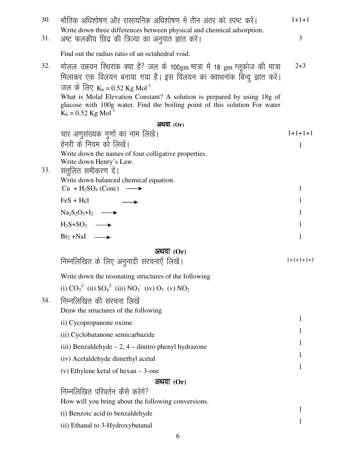| 30.<br>31. | भौतिक अधिशोषण और रासायनिक अधिशोषण में तीन अंतर को स्पष्ट करें।<br>Write down three differences between physical and chemical adsorption.<br>अष्ट फलकीय छिद्र की त्रिज्या का अनुपात ज्ञात करें।                                                                                                                                                                                                       | $1+1+1$<br>3 |
|------------|------------------------------------------------------------------------------------------------------------------------------------------------------------------------------------------------------------------------------------------------------------------------------------------------------------------------------------------------------------------------------------------------------|--------------|
|            | Find out the radius ratio of an octahedral void.                                                                                                                                                                                                                                                                                                                                                     |              |
| 32.        | मोलल उन्नयन स्थिरांक क्या है? जल के 100gm मात्रा में 18 gm ग्लूकोज की मात्रा<br>मिलाकर एक विलयन बनाया गया है। इस विलयन का क्वाथनांक बिन्दु ज्ञात करें।<br>जल के लिए $K_b = 0.52$ Kg Mol <sup>-1</sup><br>What is Molal Elevation Constant? A solution is prepared by using 18g of<br>glucose with 100g water. Find the boiling point of this solution For water<br>$K_b = 0.52$ Kg Mol <sup>-1</sup> | $2 + 3$      |
|            | अथवा $(Or)$                                                                                                                                                                                                                                                                                                                                                                                          |              |
|            | चार अणुसंख्यक गुणों का नाम लिखें।                                                                                                                                                                                                                                                                                                                                                                    | $1+1+1+1$    |
|            | हेनरी के नियम को लिखें।                                                                                                                                                                                                                                                                                                                                                                              | 1            |
|            | Write down the names of four colligative properties.                                                                                                                                                                                                                                                                                                                                                 |              |
| 33.        | Write down Henry's Law.<br>संतुलित समीकरण दें।                                                                                                                                                                                                                                                                                                                                                       |              |
|            | Write down balanced chemical equation.                                                                                                                                                                                                                                                                                                                                                               |              |
|            | $Cu + H2SO4 (Conc)$<br>$\longrightarrow$                                                                                                                                                                                                                                                                                                                                                             | 1            |
|            | $FeS + Hcl$                                                                                                                                                                                                                                                                                                                                                                                          | 1            |
|            | $\text{Na}_2\text{S}_2\text{O}_3 + \text{I}_2 \longrightarrow$                                                                                                                                                                                                                                                                                                                                       | 1            |
|            | $H_2S+SO_2 \longrightarrow$                                                                                                                                                                                                                                                                                                                                                                          | 1            |
|            | $Br_2 + NaI \longrightarrow$                                                                                                                                                                                                                                                                                                                                                                         | 1            |
|            | अथवा (Or)                                                                                                                                                                                                                                                                                                                                                                                            |              |
|            | निम्नलिखित के लिए अनुनादी संरचनाएँ लिखें।                                                                                                                                                                                                                                                                                                                                                            | $1+1+1+1+1$  |
|            | Write down the resonating structures of the following                                                                                                                                                                                                                                                                                                                                                |              |
|            | (i) $CO_3^2$ <sup>2</sup> (ii) $SO_4^2$ <sup>2</sup> (iii) $NO_3^-$ (iv) $O_3$ (v) $NO_2$                                                                                                                                                                                                                                                                                                            |              |
| 34.        | निम्नलिखित की संरचना लिखें                                                                                                                                                                                                                                                                                                                                                                           |              |
|            | Draw the structures of the following                                                                                                                                                                                                                                                                                                                                                                 |              |
|            | (i) Cycopropanone oxime                                                                                                                                                                                                                                                                                                                                                                              | 1            |
|            | (ii) Cyclobutanone semicarbazide                                                                                                                                                                                                                                                                                                                                                                     | 1            |
|            | (iii) Benzaldehyde $-2$ , $4$ – dinitro phenyl hydrazone                                                                                                                                                                                                                                                                                                                                             | 1            |
|            | (iv) Acetaldehyde dimethyl acetal                                                                                                                                                                                                                                                                                                                                                                    | 1            |
|            | (v) Ethylene ketal of hexan $-3$ -one                                                                                                                                                                                                                                                                                                                                                                | 1            |
|            | अथवा $(Or)$                                                                                                                                                                                                                                                                                                                                                                                          |              |
|            | निम्नलिखित परिवर्तन कैसे करेंगे?<br>How will you bring about the following conversions.                                                                                                                                                                                                                                                                                                              |              |
|            | (i) Benzoic acid to benzaldehyde                                                                                                                                                                                                                                                                                                                                                                     | 1            |
|            | (ii) Ethanal to 3-Hydroxybutanal                                                                                                                                                                                                                                                                                                                                                                     | 1            |